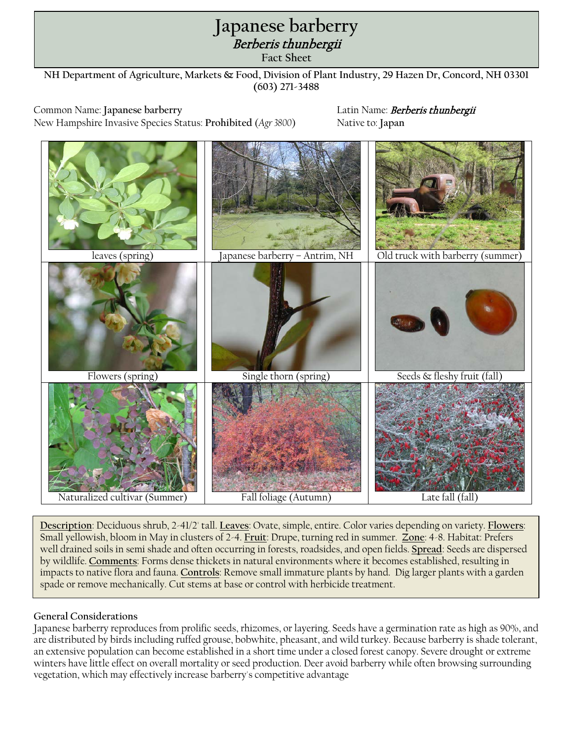## **Oriental bittersweet** Japanese barberry<br>*Berberis thunbergii*

**Fact Sheet**

**NH Department of Agriculture, Markets & Food, Division of Plant Industry, 29 Hazen Dr, Concord, NH 03301 (603) 271-3488**

Common Name: **Japanese barberry** Latin Name: Berberis thunbergii New Hampshire Invasive Species Status: **Prohibited** (*Agr 3800*) Native to: **Japan**



**Description**: Deciduous shrub, 2-41/2' tall. **Leaves**: Ovate, simple, entire. Color varies depending on variety. **Flowers**: Small yellowish, bloom in May in clusters of 2-4. **Fruit**: Drupe, turning red in summer. **Zone**: 4-8. Habitat: Prefers well drained soils in semi shade and often occurring in forests, roadsides, and open fields. **Spread**: Seeds are dispersed by wildlife. **Comments**: Forms dense thickets in natural environments where it becomes established, resulting in impacts to native flora and fauna. **Controls**: Remove small immature plants by hand. Dig larger plants with a garden spade or remove mechanically. Cut stems at base or control with herbicide treatment.

## **General Considerations**

Japanese barberry reproduces from prolific seeds, rhizomes, or layering. Seeds have a germination rate as high as 90%, and are distributed by birds including ruffed grouse, bobwhite, pheasant, and wild turkey. Because barberry is shade tolerant, an extensive population can become established in a short time under a closed forest canopy. Severe drought or extreme winters have little effect on overall mortality or seed production. Deer avoid barberry while often browsing surrounding vegetation, which may effectively increase barberry's competitive advantage